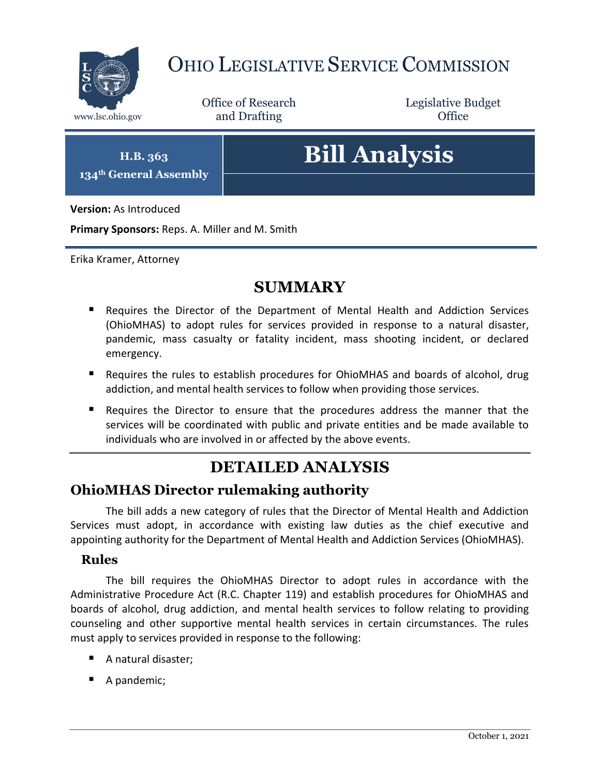

## OHIO LEGISLATIVE SERVICE COMMISSION

Office of Research www.lsc.ohio.gov **and Drafting Office** 

Legislative Budget

**H.B. 363 134th General Assembly**

# **Bill Analysis**

**Version:** As Introduced

**Primary Sponsors:** Reps. A. Miller and M. Smith

Erika Kramer, Attorney

### **SUMMARY**

- Requires the Director of the Department of Mental Health and Addiction Services (OhioMHAS) to adopt rules for services provided in response to a natural disaster, pandemic, mass casualty or fatality incident, mass shooting incident, or declared emergency.
- Requires the rules to establish procedures for OhioMHAS and boards of alcohol, drug addiction, and mental health services to follow when providing those services.
- Requires the Director to ensure that the procedures address the manner that the services will be coordinated with public and private entities and be made available to individuals who are involved in or affected by the above events.

## **DETAILED ANALYSIS**

#### **OhioMHAS Director rulemaking authority**

The bill adds a new category of rules that the Director of Mental Health and Addiction Services must adopt, in accordance with existing law duties as the chief executive and appointing authority for the Department of Mental Health and Addiction Services (OhioMHAS).

#### **Rules**

The bill requires the OhioMHAS Director to adopt rules in accordance with the Administrative Procedure Act (R.C. Chapter 119) and establish procedures for OhioMHAS and boards of alcohol, drug addiction, and mental health services to follow relating to providing counseling and other supportive mental health services in certain circumstances. The rules must apply to services provided in response to the following:

- A natural disaster:
- A pandemic;